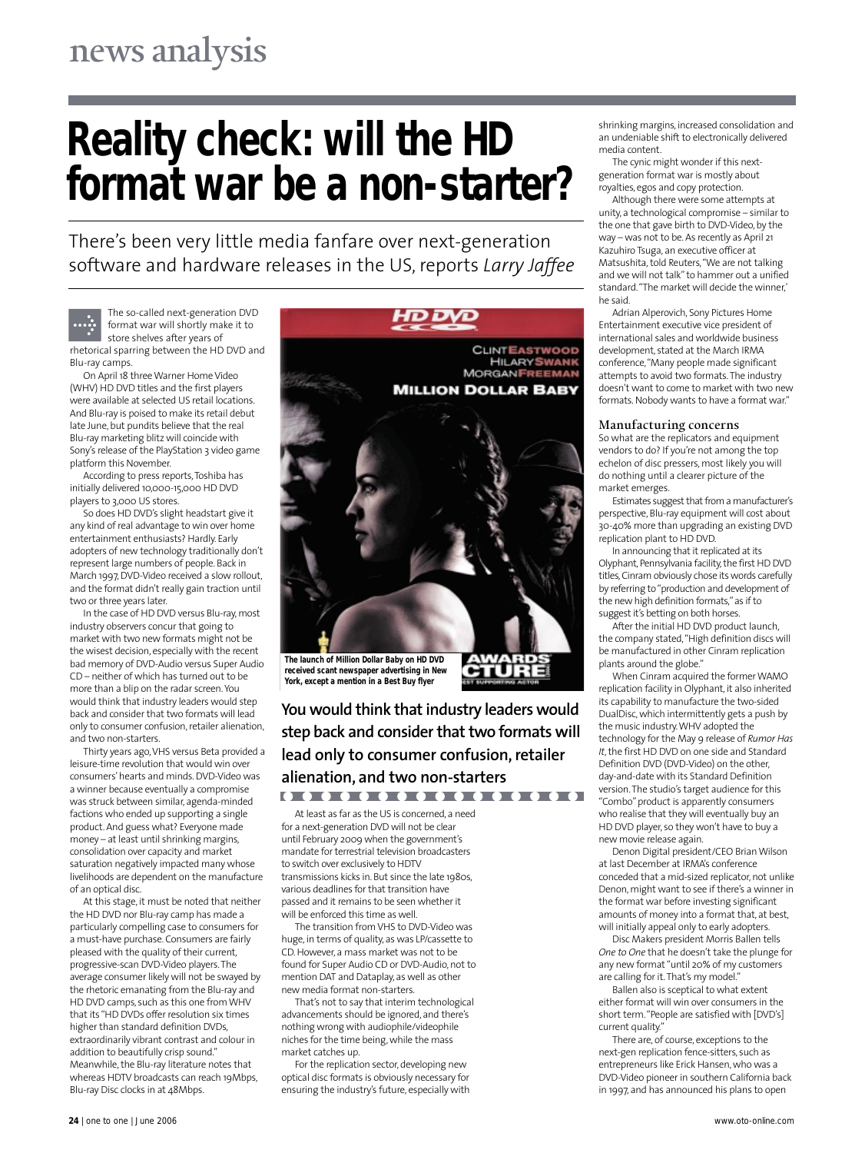## news analysis

# **Reality check: will the HD format war be a non-starter?**

There's been very little media fanfare over next-generation software and hardware releases in the US, reports *Larry Jaffee*

The so-called next-generation DVD format war will shortly make it to store shelves after years of

rhetorical sparring between the HD DVD and Blu-ray camps. On April 18 three Warner Home Video

(WHV) HD DVD titles and the first players were available at selected US retail locations. And Blu-ray is poised to make its retail debut late June, but pundits believe that the real Blu-ray marketing blitz will coincide with Sony's release of the PlayStation 3 video game platform this November.

According to press reports, Toshiba has initially delivered 10,000-15,000 HD DVD players to 3,000 US stores.

So does HD DVD's slight headstart give it any kind of real advantage to win over home entertainment enthusiasts? Hardly. Early adopters of new technology traditionally don't represent large numbers of people. Back in March 1997, DVD-Video received a slow rollout, and the format didn't really gain traction until two or three years later.

In the case of HD DVD versus Blu-ray, most industry observers concur that going to market with two new formats might not be the wisest decision, especially with the recent bad memory of DVD-Audio versus Super Audio CD – neither of which has turned out to be more than a blip on the radar screen. You would think that industry leaders would step back and consider that two formats will lead only to consumer confusion, retailer alienation, and two non-starters.

Thirty years ago,VHS versus Beta provided a leisure-time revolution that would win over consumers' hearts and minds. DVD-Video was a winner because eventually a compromise was struck between similar, agenda-minded factions who ended up supporting a single product. And guess what? Everyone made money – at least until shrinking margins, consolidation over capacity and market saturation negatively impacted many whose livelihoods are dependent on the manufacture of an optical disc.

At this stage, it must be noted that neither the HD DVD nor Blu-ray camp has made a particularly compelling case to consumers for a must-have purchase. Consumers are fairly pleased with the quality of their current, progressive-scan DVD-Video players.The average consumer likely will not be swayed by the rhetoric emanating from the Blu-ray and HD DVD camps, such as this one from WHV that its "HD DVDs offer resolution six times higher than standard definition DVDs, extraordinarily vibrant contrast and colour in addition to beautifully crisp sound." Meanwhile, the Blu-ray literature notes that whereas HDTV broadcasts can reach 19Mbps. Blu-ray Disc clocks in at 48Mbps.



**You would think that industry leaders would step back and consider that two formats will lead only to consumer confusion, retailer alienation, and two non-starters**  0000000000000000

At least as far as the US is concerned, a need for a next-generation DVD will not be clear until February 2009 when the government's mandate for terrestrial television broadcasters to switch over exclusively to HDTV transmissions kicks in. But since the late 1980s, various deadlines for that transition have passed and it remains to be seen whether it will be enforced this time as well.

The transition from VHS to DVD-Video was huge, in terms of quality, as was LP/cassette to CD. However, a mass market was not to be found for Super Audio CD or DVD-Audio, not to mention DAT and Dataplay, as well as other new media format non-starters.

That's not to say that interim technological advancements should be ignored, and there's nothing wrong with audiophile/videophile niches for the time being, while the mass market catches up.

For the replication sector, developing new optical disc formats is obviously necessary for ensuring the industry's future, especially with shrinking margins, increased consolidation and an undeniable shift to electronically delivered media content.

The cynic might wonder if this nextgeneration format war is mostly about royalties, egos and copy protection.

Although there were some attempts at unity, a technological compromise – similar to the one that gave birth to DVD-Video, by the way – was not to be. As recently as April 21 Kazuhiro Tsuga, an executive officer at Matsushita, told Reuters,"We are not talking and we will not talk" to hammer out a unified standard."The market will decide the winner,' he said.

Adrian Alperovich, Sony Pictures Home Entertainment executive vice president of international sales and worldwide business development, stated at the March IRMA conference,"Many people made significant attempts to avoid two formats.The industry doesn't want to come to market with two new formats. Nobody wants to have a format war."

#### Manufacturing concerns

So what are the replicators and equipment vendors to do? If you're not among the top echelon of disc pressers, most likely you will do nothing until a clearer picture of the market emerges.

Estimates suggest that from a manufacturer's perspective, Blu-ray equipment will cost about 30-40% more than upgrading an existing DVD replication plant to HD DVD.

In announcing that it replicated at its Olyphant, Pennsylvania facility, the first HD DVD titles, Cinram obviously chose its words carefully by referring to "production and development of the new high definition formats,"as if to suggest it's betting on both horses.

After the initial HD DVD product launch, the company stated,"High definition discs will be manufactured in other Cinram replication plants around the globe."

When Cinram acquired the former WAMO replication facility in Olyphant, it also inherited its capability to manufacture the two-sided DualDisc, which intermittently gets a push by the music industry.WHV adopted the technology for the May 9 release of *Rumor Has It*, the first HD DVD on one side and Standard Definition DVD (DVD-Video) on the other, day-and-date with its Standard Definition version.The studio's target audience for this "Combo" product is apparently consumers who realise that they will eventually buy an HD DVD player, so they won't have to buy a new movie release again.

Denon Digital president/CEO Brian Wilson at last December at IRMA's conference conceded that a mid-sized replicator, not unlike Denon, might want to see if there's a winner in the format war before investing significant amounts of money into a format that, at best, will initially appeal only to early adopters.

Disc Makers president Morris Ballen tells *One to One* that he doesn't take the plunge for any new format "until 20% of my customers are calling for it.That's my model."

Ballen also is sceptical to what extent either format will win over consumers in the short term."People are satisfied with [DVD's] current quality."

There are, of course, exceptions to the next-gen replication fence-sitters, such as entrepreneurs like Erick Hansen, who was a DVD-Video pioneer in southern California back in 1997, and has announced his plans to open